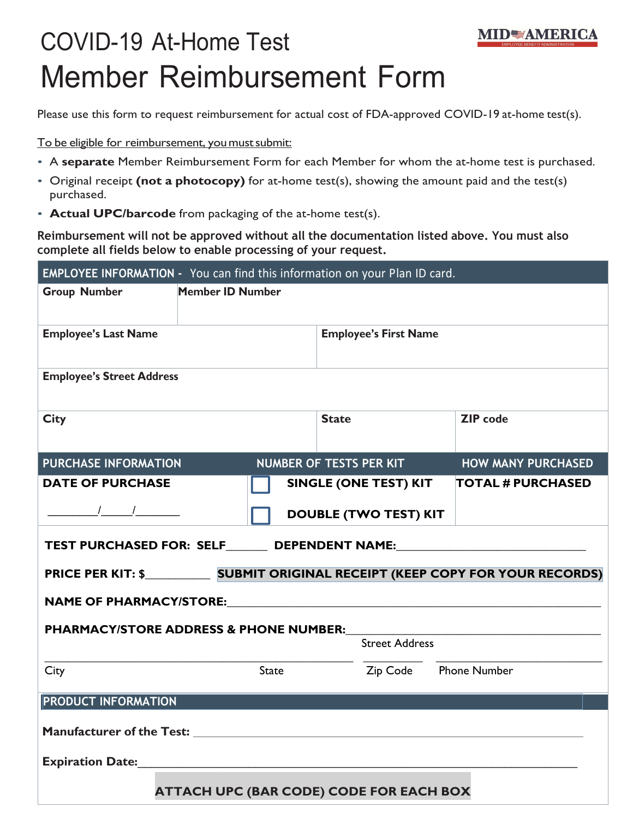## COVID-19 At-Home Test Member Reimbursement Form

Please use this form to request reimbursement for actual cost of FDA-approved COVID-19 at-home test(s).

**MIDWAMERICA** 

To be eligible for reimbursement, you must submit:

- A **separate** Member Reimbursement Form for each Member for whom the at-home test is purchased.
- Original receipt **(not a photocopy)** for at-home test(s), showing the amount paid and the test(s) purchased.
- **Actual UPC/barcode** from packaging of the at-home test(s).

**Reimbursement will not be approved without all the documentation listed above. You must also complete all fields below to enable processing of your request.**

| EMPLOYEE INFORMATION - You can find this information on your Plan ID card.                                                                                                                                                                                                                                          |                                                             |  |  |
|---------------------------------------------------------------------------------------------------------------------------------------------------------------------------------------------------------------------------------------------------------------------------------------------------------------------|-------------------------------------------------------------|--|--|
| <b>Member ID Number</b><br><b>Group Number</b>                                                                                                                                                                                                                                                                      |                                                             |  |  |
| <b>Employee's Last Name</b>                                                                                                                                                                                                                                                                                         | <b>Employee's First Name</b>                                |  |  |
| <b>Employee's Street Address</b>                                                                                                                                                                                                                                                                                    |                                                             |  |  |
| <b>City</b>                                                                                                                                                                                                                                                                                                         | <b>ZIP</b> code<br><b>State</b>                             |  |  |
| <b>PURCHASE INFORMATION</b>                                                                                                                                                                                                                                                                                         | <b>NUMBER OF TESTS PER KIT</b><br><b>HOW MANY PURCHASED</b> |  |  |
| <b>DATE OF PURCHASE</b>                                                                                                                                                                                                                                                                                             | <b>SINGLE (ONE TEST) KIT</b><br><b>TOTAL # PURCHASED</b>    |  |  |
| $\frac{1}{2}$ $\frac{1}{2}$ $\frac{1}{2}$ $\frac{1}{2}$ $\frac{1}{2}$ $\frac{1}{2}$ $\frac{1}{2}$ $\frac{1}{2}$ $\frac{1}{2}$ $\frac{1}{2}$ $\frac{1}{2}$ $\frac{1}{2}$ $\frac{1}{2}$ $\frac{1}{2}$ $\frac{1}{2}$ $\frac{1}{2}$ $\frac{1}{2}$ $\frac{1}{2}$ $\frac{1}{2}$ $\frac{1}{2}$ $\frac{1}{2}$ $\frac{1}{2}$ | <b>DOUBLE (TWO TEST) KIT</b>                                |  |  |
| TEST PURCHASED FOR: SELF_______ DEPENDENT NAME:_________________________________                                                                                                                                                                                                                                    |                                                             |  |  |
|                                                                                                                                                                                                                                                                                                                     |                                                             |  |  |
| NAME OF PHARMACY/STORE: NAME OF PHARMACY/STORE:                                                                                                                                                                                                                                                                     |                                                             |  |  |
| <b>PHARMACY/STORE ADDRESS &amp; PHONE NUMBER:</b>                                                                                                                                                                                                                                                                   |                                                             |  |  |
|                                                                                                                                                                                                                                                                                                                     | <b>Street Address</b>                                       |  |  |
| City<br>State                                                                                                                                                                                                                                                                                                       | Zip Code Phone Number                                       |  |  |
| <b>PRODUCT INFORMATION</b>                                                                                                                                                                                                                                                                                          |                                                             |  |  |
|                                                                                                                                                                                                                                                                                                                     |                                                             |  |  |
| <b>Expiration Date:</b>                                                                                                                                                                                                                                                                                             |                                                             |  |  |
| <b>ATTACH UPC (BAR CODE) CODE FOR EACH BOX</b>                                                                                                                                                                                                                                                                      |                                                             |  |  |